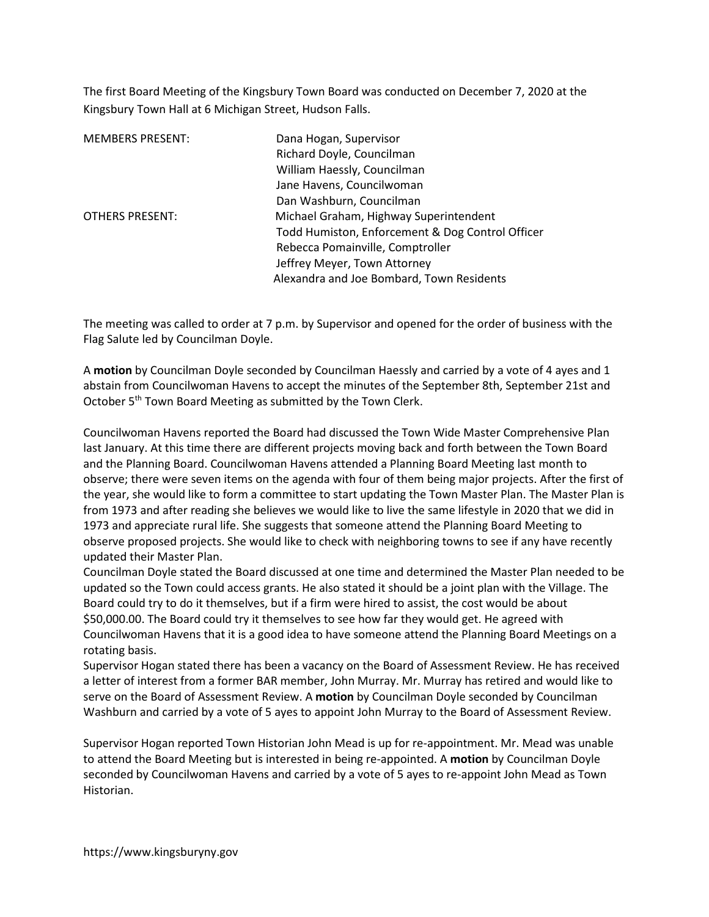The first Board Meeting of the Kingsbury Town Board was conducted on December 7, 2020 at the Kingsbury Town Hall at 6 Michigan Street, Hudson Falls.

| <b>MEMBERS PRESENT:</b> | Dana Hogan, Supervisor                           |
|-------------------------|--------------------------------------------------|
|                         | Richard Doyle, Councilman                        |
|                         | William Haessly, Councilman                      |
|                         | Jane Havens, Councilwoman                        |
|                         | Dan Washburn, Councilman                         |
| <b>OTHERS PRESENT:</b>  | Michael Graham, Highway Superintendent           |
|                         | Todd Humiston, Enforcement & Dog Control Officer |
|                         | Rebecca Pomainville, Comptroller                 |
|                         | Jeffrey Meyer, Town Attorney                     |
|                         | Alexandra and Joe Bombard, Town Residents        |

The meeting was called to order at 7 p.m. by Supervisor and opened for the order of business with the Flag Salute led by Councilman Doyle.

A motion by Councilman Doyle seconded by Councilman Haessly and carried by a vote of 4 ayes and 1 abstain from Councilwoman Havens to accept the minutes of the September 8th, September 21st and October 5<sup>th</sup> Town Board Meeting as submitted by the Town Clerk.

Councilwoman Havens reported the Board had discussed the Town Wide Master Comprehensive Plan last January. At this time there are different projects moving back and forth between the Town Board and the Planning Board. Councilwoman Havens attended a Planning Board Meeting last month to observe; there were seven items on the agenda with four of them being major projects. After the first of the year, she would like to form a committee to start updating the Town Master Plan. The Master Plan is from 1973 and after reading she believes we would like to live the same lifestyle in 2020 that we did in 1973 and appreciate rural life. She suggests that someone attend the Planning Board Meeting to observe proposed projects. She would like to check with neighboring towns to see if any have recently updated their Master Plan.

Councilman Doyle stated the Board discussed at one time and determined the Master Plan needed to be updated so the Town could access grants. He also stated it should be a joint plan with the Village. The Board could try to do it themselves, but if a firm were hired to assist, the cost would be about \$50,000.00. The Board could try it themselves to see how far they would get. He agreed with Councilwoman Havens that it is a good idea to have someone attend the Planning Board Meetings on a rotating basis.

Supervisor Hogan stated there has been a vacancy on the Board of Assessment Review. He has received a letter of interest from a former BAR member, John Murray. Mr. Murray has retired and would like to serve on the Board of Assessment Review. A **motion** by Councilman Doyle seconded by Councilman Washburn and carried by a vote of 5 ayes to appoint John Murray to the Board of Assessment Review.

Supervisor Hogan reported Town Historian John Mead is up for re-appointment. Mr. Mead was unable to attend the Board Meeting but is interested in being re-appointed. A motion by Councilman Doyle seconded by Councilwoman Havens and carried by a vote of 5 ayes to re-appoint John Mead as Town Historian.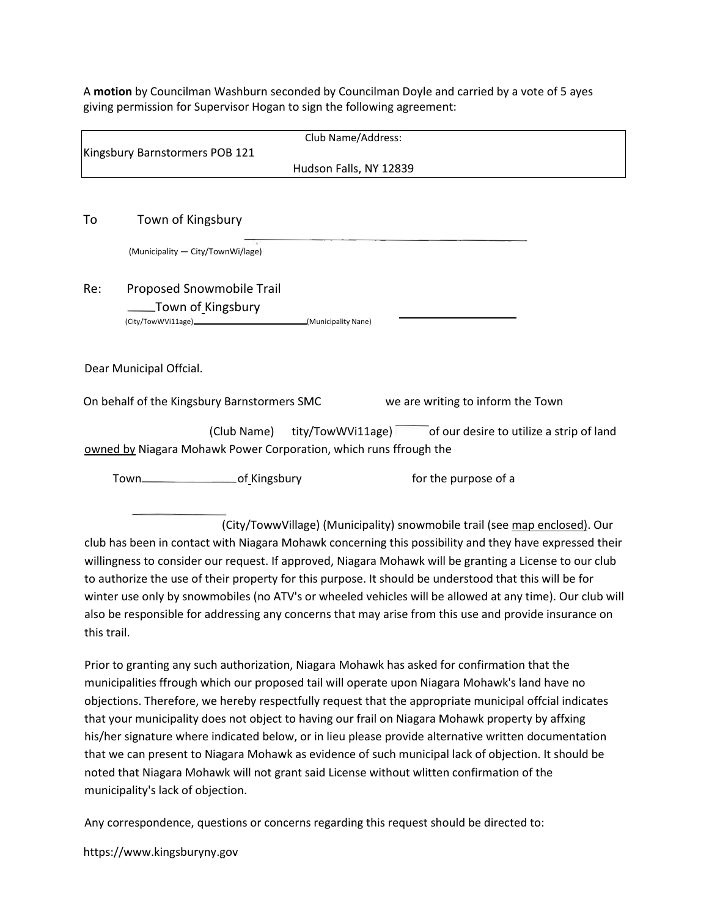A motion by Councilman Washburn seconded by Councilman Doyle and carried by a vote of 5 ayes giving permission for Supervisor Hogan to sign the following agreement:

|     | Club Name/Address:                                                                                      |
|-----|---------------------------------------------------------------------------------------------------------|
|     | Kingsbury Barnstormers POB 121                                                                          |
|     | Hudson Falls, NY 12839                                                                                  |
|     |                                                                                                         |
| To  | Town of Kingsbury                                                                                       |
|     | (Municipality - City/TownWi/lage)                                                                       |
| Re: | Proposed Snowmobile Trail                                                                               |
|     | Town of Kingsbury                                                                                       |
|     | (City/TowWVi11age)_________________________________(Municipality Nane)                                  |
|     | Dear Municipal Offcial.                                                                                 |
|     | On behalf of the Kingsbury Barnstormers SMC<br>we are writing to inform the Town                        |
|     | (Club Name) tity/TowWVi11age) of our desire to utilize a strip of land                                  |
|     | owned by Niagara Mohawk Power Corporation, which runs ffrough the                                       |
|     | Town-Common of Kingsbury<br>for the purpose of a                                                        |
|     |                                                                                                         |
|     | (City/TowwVillage) (Municipality) snowmobile trail (see map enclosed). Our                              |
|     | club has been in contact with Niagara Mohawk concerning this possibility and they have expressed their  |
|     | willingness to consider our request. If approved, Niagara Mohawk will be granting a License to our club |
|     | to authorize the use of their property for this purpose. It should be understood that this will be for  |

winter use only by snowmobiles (no ATV's or wheeled vehicles will be allowed at any time). Our club will also be responsible for addressing any concerns that may arise from this use and provide insurance on this trail.

Prior to granting any such authorization, Niagara Mohawk has asked for confirmation that the municipalities ffrough which our proposed tail will operate upon Niagara Mohawk's land have no objections. Therefore, we hereby respectfully request that the appropriate municipal offcial indicates that your municipality does not object to having our frail on Niagara Mohawk property by affxing his/her signature where indicated below, or in lieu please provide alternative written documentation that we can present to Niagara Mohawk as evidence of such municipal lack of objection. It should be noted that Niagara Mohawk will not grant said License without wlitten confirmation of the municipality's lack of objection.

Any correspondence, questions or concerns regarding this request should be directed to:

https://www.kingsburyny.gov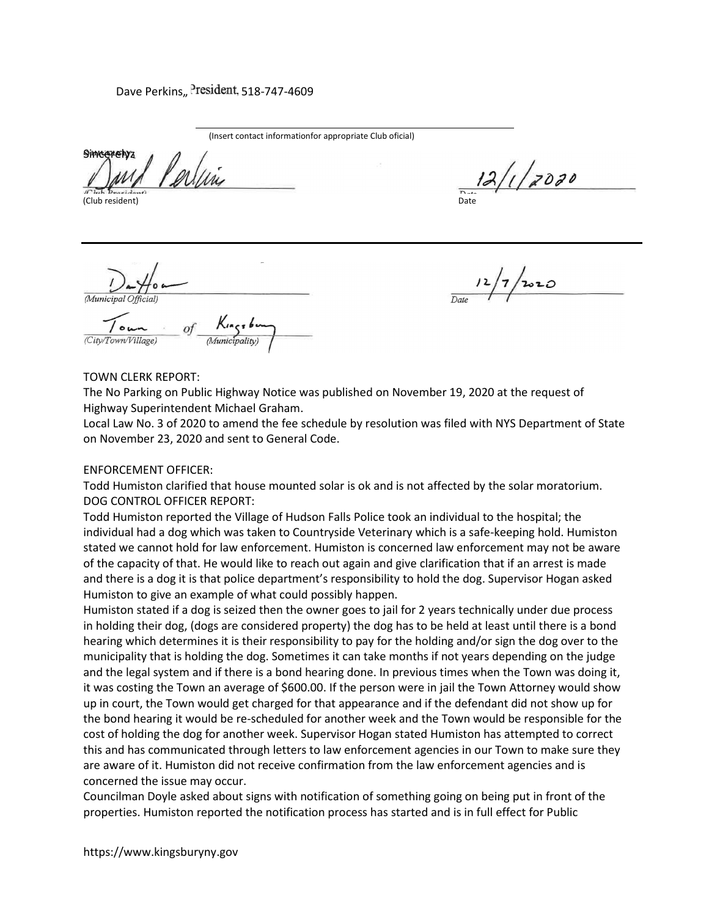# Dave Perkins,, President, 518-747-4609

(Insert contact informationfor appropriate Club oficial)

**Simcazolyz** 

(Club resident)

 $12/1/2000$ 

(Municipal Official)

 $2020$ 

#### TOWN CLERK REPORT:

The No Parking on Public Highway Notice was published on November 19, 2020 at the request of Highway Superintendent Michael Graham.

Local Law No. 3 of 2020 to amend the fee schedule by resolution was filed with NYS Department of State on November 23, 2020 and sent to General Code.

#### ENFORCEMENT OFFICER:

Todd Humiston clarified that house mounted solar is ok and is not affected by the solar moratorium. DOG CONTROL OFFICER REPORT:

Todd Humiston reported the Village of Hudson Falls Police took an individual to the hospital; the individual had a dog which was taken to Countryside Veterinary which is a safe-keeping hold. Humiston stated we cannot hold for law enforcement. Humiston is concerned law enforcement may not be aware of the capacity of that. He would like to reach out again and give clarification that if an arrest is made and there is a dog it is that police department's responsibility to hold the dog. Supervisor Hogan asked Humiston to give an example of what could possibly happen.

Humiston stated if a dog is seized then the owner goes to jail for 2 years technically under due process in holding their dog, (dogs are considered property) the dog has to be held at least until there is a bond hearing which determines it is their responsibility to pay for the holding and/or sign the dog over to the municipality that is holding the dog. Sometimes it can take months if not years depending on the judge and the legal system and if there is a bond hearing done. In previous times when the Town was doing it, it was costing the Town an average of \$600.00. If the person were in jail the Town Attorney would show up in court, the Town would get charged for that appearance and if the defendant did not show up for the bond hearing it would be re-scheduled for another week and the Town would be responsible for the cost of holding the dog for another week. Supervisor Hogan stated Humiston has attempted to correct this and has communicated through letters to law enforcement agencies in our Town to make sure they are aware of it. Humiston did not receive confirmation from the law enforcement agencies and is concerned the issue may occur.

Councilman Doyle asked about signs with notification of something going on being put in front of the properties. Humiston reported the notification process has started and is in full effect for Public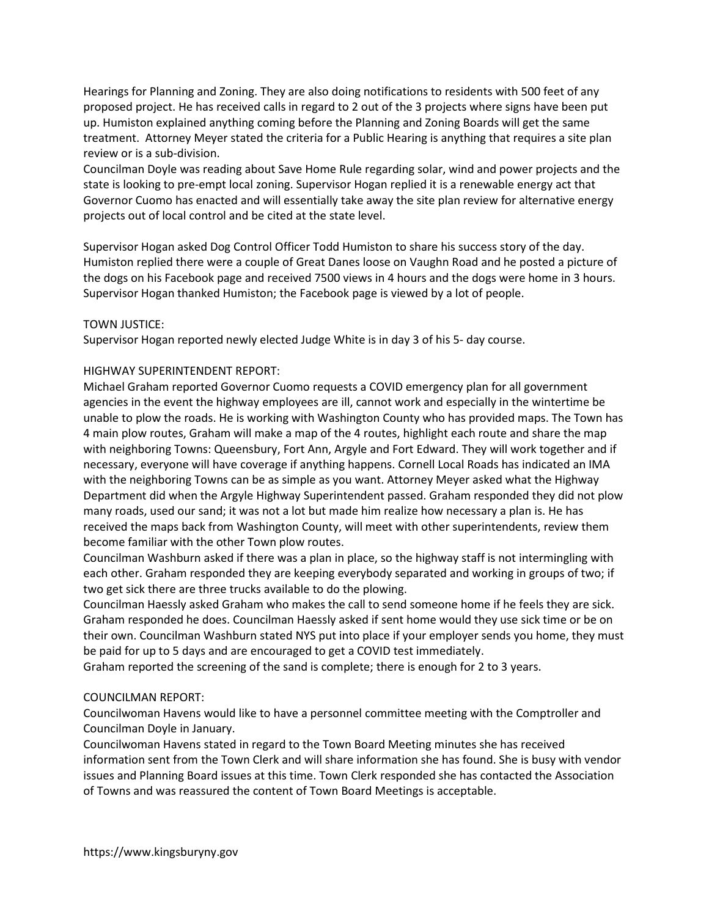Hearings for Planning and Zoning. They are also doing notifications to residents with 500 feet of any proposed project. He has received calls in regard to 2 out of the 3 projects where signs have been put up. Humiston explained anything coming before the Planning and Zoning Boards will get the same treatment. Attorney Meyer stated the criteria for a Public Hearing is anything that requires a site plan review or is a sub-division.

Councilman Doyle was reading about Save Home Rule regarding solar, wind and power projects and the state is looking to pre-empt local zoning. Supervisor Hogan replied it is a renewable energy act that Governor Cuomo has enacted and will essentially take away the site plan review for alternative energy projects out of local control and be cited at the state level.

Supervisor Hogan asked Dog Control Officer Todd Humiston to share his success story of the day. Humiston replied there were a couple of Great Danes loose on Vaughn Road and he posted a picture of the dogs on his Facebook page and received 7500 views in 4 hours and the dogs were home in 3 hours. Supervisor Hogan thanked Humiston; the Facebook page is viewed by a lot of people.

## TOWN JUSTICE:

Supervisor Hogan reported newly elected Judge White is in day 3 of his 5- day course.

## HIGHWAY SUPERINTENDENT REPORT:

Michael Graham reported Governor Cuomo requests a COVID emergency plan for all government agencies in the event the highway employees are ill, cannot work and especially in the wintertime be unable to plow the roads. He is working with Washington County who has provided maps. The Town has 4 main plow routes, Graham will make a map of the 4 routes, highlight each route and share the map with neighboring Towns: Queensbury, Fort Ann, Argyle and Fort Edward. They will work together and if necessary, everyone will have coverage if anything happens. Cornell Local Roads has indicated an IMA with the neighboring Towns can be as simple as you want. Attorney Meyer asked what the Highway Department did when the Argyle Highway Superintendent passed. Graham responded they did not plow many roads, used our sand; it was not a lot but made him realize how necessary a plan is. He has received the maps back from Washington County, will meet with other superintendents, review them become familiar with the other Town plow routes.

Councilman Washburn asked if there was a plan in place, so the highway staff is not intermingling with each other. Graham responded they are keeping everybody separated and working in groups of two; if two get sick there are three trucks available to do the plowing.

Councilman Haessly asked Graham who makes the call to send someone home if he feels they are sick. Graham responded he does. Councilman Haessly asked if sent home would they use sick time or be on their own. Councilman Washburn stated NYS put into place if your employer sends you home, they must be paid for up to 5 days and are encouraged to get a COVID test immediately.

Graham reported the screening of the sand is complete; there is enough for 2 to 3 years.

## COUNCILMAN REPORT:

Councilwoman Havens would like to have a personnel committee meeting with the Comptroller and Councilman Doyle in January.

Councilwoman Havens stated in regard to the Town Board Meeting minutes she has received information sent from the Town Clerk and will share information she has found. She is busy with vendor issues and Planning Board issues at this time. Town Clerk responded she has contacted the Association of Towns and was reassured the content of Town Board Meetings is acceptable.